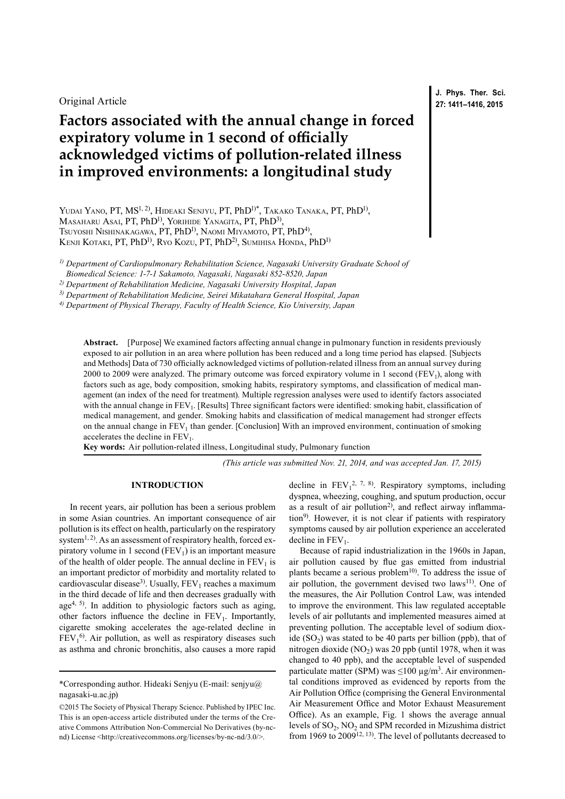Original Article

# **Factors associated with the annual change in forced expiratory volume in 1 second of officially acknowledged victims of pollution-related illness in improved environments: a longitudinal study**

YUDAI YANO, PT, MS<sup>1, 2)</sup>, HIDEAKI SENJYU, PT, PhD<sup>1)\*</sup>, TAKAKO TANAKA, PT, PhD<sup>1)</sup>, MASAHARU ASAI, PT, PhD<sup>1)</sup>, YORIHIDE YANAGITA, PT, PhD<sup>3)</sup>, Tsuyoshi Nishinakagawa, PT, PhD<sup>1)</sup>, Naomi Miyamoto, PT, PhD<sup>4)</sup>, KENJI KOTAKI, PT, PhD<sup>1)</sup>, Ryo Kozu, PT, PhD<sup>2)</sup>, Sumihisa Honda, PhD<sup>1)</sup>

*1) Department of Cardiopulmonary Rehabilitation Science, Nagasaki University Graduate School of Biomedical Science: 1-7-1 Sakamoto, Nagasaki, Nagasaki 852-8520, Japan*

*2) Department of Rehabilitation Medicine, Nagasaki University Hospital, Japan*

*3) Department of Rehabilitation Medicine, Seirei Mikatahara General Hospital, Japan*

*4) Department of Physical Therapy, Faculty of Health Science, Kio University, Japan*

**Abstract.** [Purpose] We examined factors affecting annual change in pulmonary function in residents previously exposed to air pollution in an area where pollution has been reduced and a long time period has elapsed. [Subjects and Methods] Data of 730 officially acknowledged victims of pollution-related illness from an annual survey during 2000 to 2009 were analyzed. The primary outcome was forced expiratory volume in 1 second (FEV<sub>1</sub>), along with factors such as age, body composition, smoking habits, respiratory symptoms, and classification of medical management (an index of the need for treatment). Multiple regression analyses were used to identify factors associated with the annual change in FEV<sub>1</sub>. [Results] Three significant factors were identified: smoking habit, classification of medical management, and gender. Smoking habits and classification of medical management had stronger effects on the annual change in FEV<sub>1</sub> than gender. [Conclusion] With an improved environment, continuation of smoking accelerates the decline in  $FEV<sub>1</sub>$ .

**Key words:** Air pollution-related illness, Longitudinal study, Pulmonary function

*(This article was submitted Nov. 21, 2014, and was accepted Jan. 17, 2015)*

## **INTRODUCTION**

In recent years, air pollution has been a serious problem in some Asian countries. An important consequence of air pollution is its effect on health, particularly on the respiratory system<sup>[1, 2](#page-5-0))</sup>. As an assessment of respiratory health, forced expiratory volume in 1 second  $(FEV_1)$  is an important measure of the health of older people. The annual decline in  $FEV<sub>1</sub>$  is an important predictor of morbidity and mortality related to cardiovascular disease<sup>3)</sup>. Usually,  $FEV<sub>1</sub>$  reaches a maximum in the third decade of life and then decreases gradually with age<sup>[4, 5\)](#page-5-2)</sup>. In addition to physiologic factors such as aging, other factors influence the decline in  $FEV<sub>1</sub>$ . Importantly, cigarette smoking accelerates the age-related decline in  $FEV<sub>1</sub><sup>6</sup>$ . Air pollution, as well as respiratory diseases such as asthma and chronic bronchitis, also causes a more rapid

decline in  $FEV_1^{2, 7, 8}$  $FEV_1^{2, 7, 8}$  $FEV_1^{2, 7, 8}$ . Respiratory symptoms, including dyspnea, wheezing, coughing, and sputum production, occur as a result of air pollution<sup>[2\)](#page-5-4)</sup>, and reflect airway inflamma-tion<sup>[9\)](#page-5-5)</sup>. However, it is not clear if patients with respiratory symptoms caused by air pollution experience an accelerated decline in  $FEV<sub>1</sub>$ .

Because of rapid industrialization in the 1960s in Japan, air pollution caused by flue gas emitted from industrial plants became a serious problem<sup>[10](#page-5-6)</sup>. To address the issue of air pollution, the government devised two laws<sup>[11](#page-5-7))</sup>. One of the measures, the Air Pollution Control Law, was intended to improve the environment. This law regulated acceptable levels of air pollutants and implemented measures aimed at preventing pollution. The acceptable level of sodium dioxide  $(SO<sub>2</sub>)$  was stated to be 40 parts per billion (ppb), that of nitrogen dioxide (NO<sub>2</sub>) was 20 ppb (until 1978, when it was changed to 40 ppb), and the acceptable level of suspended particulate matter (SPM) was  $\leq 100 \text{ µg/m}^3$ . Air environmental conditions improved as evidenced by reports from the Air Pollution Office (comprising the General Environmental Air Measurement Office and Motor Exhaust Measurement Office). As an example, Fig. 1 shows the average annual levels of  $SO_2$ ,  $NO_2$  and SPM recorded in Mizushima district from 1969 to 2009<sup>12, 13</sup>. The level of pollutants decreased to

**J. Phys. Ther. Sci. 27: 1411–1416, 2015**

<sup>\*</sup>Corresponding author. Hideaki Senjyu (E-mail: senjyu@ nagasaki-u.ac.jp)

<sup>©2015</sup> The Society of Physical Therapy Science. Published by IPEC Inc. This is an open-access article distributed under the terms of the Creative Commons Attribution Non-Commercial No Derivatives (by-ncnd) License [<http://creativecommons.org/licenses/by-nc-nd/3.0/>](http://creativecommons.org/licenses/by-nc-nd/3.0/).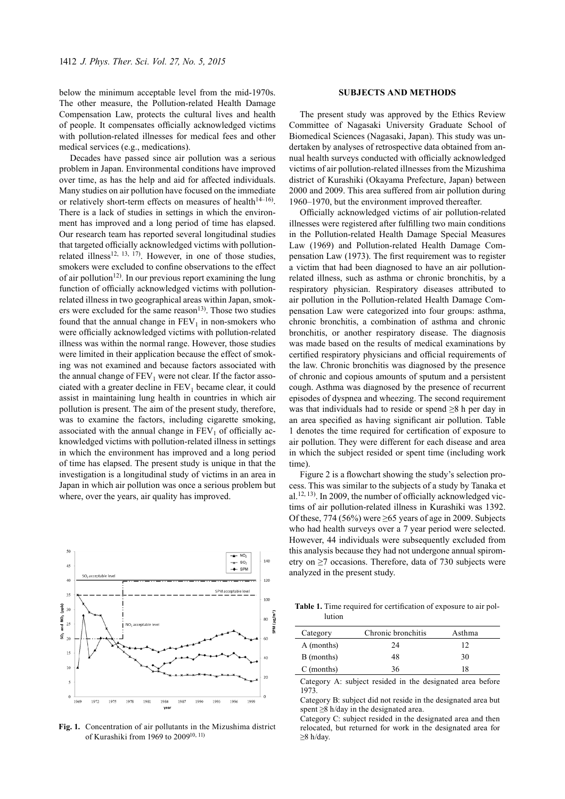below the minimum acceptable level from the mid-1970s. The other measure, the Pollution-related Health Damage Compensation Law, protects the cultural lives and health of people. It compensates officially acknowledged victims with pollution-related illnesses for medical fees and other medical services (e.g., medications).

Decades have passed since air pollution was a serious problem in Japan. Environmental conditions have improved over time, as has the help and aid for affected individuals. Many studies on air pollution have focused on the immediate or relatively short-term effects on measures of health $14-16$ . There is a lack of studies in settings in which the environment has improved and a long period of time has elapsed. Our research team has reported several longitudinal studies that targeted officially acknowledged victims with pollution-related illness<sup>[12, 13, 17\)](#page-5-8)</sup>. However, in one of those studies, smokers were excluded to confine observations to the effect of air pollution<sup>12)</sup>. In our previous report examining the lung function of officially acknowledged victims with pollutionrelated illness in two geographical areas within Japan, smokers were excluded for the same reason<sup>13</sup>). Those two studies found that the annual change in  $FEV<sub>1</sub>$  in non-smokers who were officially acknowledged victims with pollution-related illness was within the normal range. However, those studies were limited in their application because the effect of smoking was not examined and because factors associated with the annual change of  $FEV<sub>1</sub>$  were not clear. If the factor associated with a greater decline in  $FEV<sub>1</sub>$  became clear, it could assist in maintaining lung health in countries in which air pollution is present. The aim of the present study, therefore, was to examine the factors, including cigarette smoking, associated with the annual change in  $FEV<sub>1</sub>$  of officially acknowledged victims with pollution-related illness in settings in which the environment has improved and a long period of time has elapsed. The present study is unique in that the investigation is a longitudinal study of victims in an area in Japan in which air pollution was once a serious problem but where, over the years, air quality has improved.



**Fig. 1.** Concentration of air pollutants in the Mizushima district of Kurashiki from 1969 to 2009[10, 11\)](#page-5-6)

### **SUBJECTS AND METHODS**

The present study was approved by the Ethics Review Committee of Nagasaki University Graduate School of Biomedical Sciences (Nagasaki, Japan). This study was undertaken by analyses of retrospective data obtained from annual health surveys conducted with officially acknowledged victims of air pollution-related illnesses from the Mizushima district of Kurashiki (Okayama Prefecture, Japan) between 2000 and 2009. This area suffered from air pollution during 1960–1970, but the environment improved thereafter.

Officially acknowledged victims of air pollution-related illnesses were registered after fulfilling two main conditions in the Pollution-related Health Damage Special Measures Law (1969) and Pollution-related Health Damage Compensation Law (1973). The first requirement was to register a victim that had been diagnosed to have an air pollutionrelated illness, such as asthma or chronic bronchitis, by a respiratory physician. Respiratory diseases attributed to air pollution in the Pollution-related Health Damage Compensation Law were categorized into four groups: asthma, chronic bronchitis, a combination of asthma and chronic bronchitis, or another respiratory disease. The diagnosis was made based on the results of medical examinations by certified respiratory physicians and official requirements of the law. Chronic bronchitis was diagnosed by the presence of chronic and copious amounts of sputum and a persistent cough. Asthma was diagnosed by the presence of recurrent episodes of dyspnea and wheezing. The second requirement was that individuals had to reside or spend ≥8 h per day in an area specified as having significant air pollution. Table 1 denotes the time required for certification of exposure to air pollution. They were different for each disease and area in which the subject resided or spent time (including work time).

Figure 2 is a flowchart showing the study's selection process. This was similar to the subjects of a study by Tanaka et al.<sup>[12, 13](#page-5-8)</sup>). In 2009, the number of officially acknowledged victims of air pollution-related illness in Kurashiki was 1392. Of these, 774 (56%) were  $\geq$ 65 years of age in 2009. Subjects who had health surveys over a 7 year period were selected. However, 44 individuals were subsequently excluded from this analysis because they had not undergone annual spirometry on ≥7 occasions. Therefore, data of 730 subjects were analyzed in the present study.

**Table 1.** Time required for certification of exposure to air pollution

| Category   | Chronic bronchitis | Asthma |
|------------|--------------------|--------|
| A (months) | 24                 | 12     |
| B (months) | 48                 | 30     |
| C (months) | 36                 | 18     |

Category A: subject resided in the designated area before 1973.

Category B: subject did not reside in the designated area but spent ≥8 h/day in the designated area.

Category C: subject resided in the designated area and then relocated, but returned for work in the designated area for ≥8 h/day.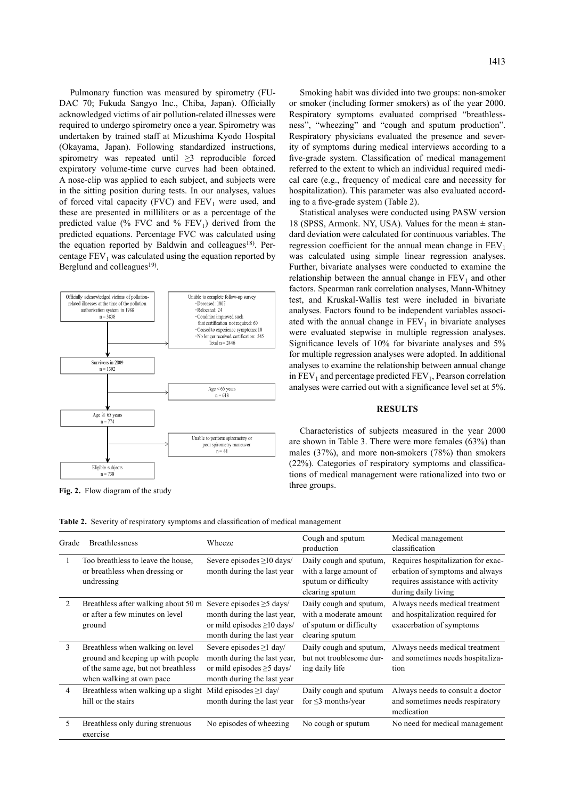Pulmonary function was measured by spirometry (FU-DAC 70; Fukuda Sangyo Inc., Chiba, Japan). Officially acknowledged victims of air pollution-related illnesses were required to undergo spirometry once a year. Spirometry was undertaken by trained staff at Mizushima Kyodo Hospital (Okayama, Japan). Following standardized instructions, spirometry was repeated until ≥3 reproducible forced expiratory volume-time curve curves had been obtained. A nose-clip was applied to each subject, and subjects were in the sitting position during tests. In our analyses, values of forced vital capacity (FVC) and  $FEV<sub>1</sub>$  were used, and these are presented in milliliters or as a percentage of the predicted value (% FVC and %  $FEV<sub>1</sub>$ ) derived from the predicted equations. Percentage FVC was calculated using the equation reported by Baldwin and colleagues<sup>18)</sup>. Percentage  $FEV<sub>1</sub>$  was calculated using the equation reported by Berglund and colleagues<sup>19)</sup>.



Smoking habit was divided into two groups: non-smoker or smoker (including former smokers) as of the year 2000. Respiratory symptoms evaluated comprised "breathlessness", "wheezing" and "cough and sputum production". Respiratory physicians evaluated the presence and severity of symptoms during medical interviews according to a five-grade system. Classification of medical management referred to the extent to which an individual required medical care (e.g., frequency of medical care and necessity for hospitalization). This parameter was also evaluated according to a five-grade system (Table 2).

Statistical analyses were conducted using PASW version 18 (SPSS, Armonk. NY, USA). Values for the mean  $\pm$  standard deviation were calculated for continuous variables. The regression coefficient for the annual mean change in  $FEV<sub>1</sub>$ was calculated using simple linear regression analyses. Further, bivariate analyses were conducted to examine the relationship between the annual change in  $FEV<sub>1</sub>$  and other factors. Spearman rank correlation analyses, Mann-Whitney test, and Kruskal-Wallis test were included in bivariate analyses. Factors found to be independent variables associated with the annual change in  $FEV<sub>1</sub>$  in bivariate analyses were evaluated stepwise in multiple regression analyses. Significance levels of 10% for bivariate analyses and 5% for multiple regression analyses were adopted. In additional analyses to examine the relationship between annual change in  $FEV<sub>1</sub>$  and percentage predicted  $FEV<sub>1</sub>$ , Pearson correlation analyses were carried out with a significance level set at 5%.

## **RESULTS**

Characteristics of subjects measured in the year 2000 are shown in Table 3. There were more females (63%) than males (37%), and more non-smokers (78%) than smokers (22%). Categories of respiratory symptoms and classifications of medical management were rationalized into two or

| Grade | <b>Breathlessness</b>                                                                                                                    | Wheeze                                                                                                                          | Cough and sputum<br>production                                                                  | Medical management<br>classification                                                                                              |
|-------|------------------------------------------------------------------------------------------------------------------------------------------|---------------------------------------------------------------------------------------------------------------------------------|-------------------------------------------------------------------------------------------------|-----------------------------------------------------------------------------------------------------------------------------------|
|       | Too breathless to leave the house.<br>or breathless when dressing or<br>undressing                                                       | Severe episodes $\geq 10$ days/<br>month during the last year                                                                   | Daily cough and sputum,<br>with a large amount of<br>sputum or difficulty<br>clearing sputum    | Requires hospitalization for exac-<br>erbation of symptoms and always<br>requires assistance with activity<br>during daily living |
| 2     | Breathless after walking about 50 m<br>or after a few minutes on level<br>ground                                                         | Severe episodes $\geq$ 5 days/<br>month during the last year,<br>or mild episodes $\geq$ 10 days/<br>month during the last year | Daily cough and sputum,<br>with a moderate amount<br>of sputum or difficulty<br>clearing sputum | Always needs medical treatment<br>and hospitalization required for<br>exacerbation of symptoms                                    |
| 3     | Breathless when walking on level<br>ground and keeping up with people<br>of the same age, but not breathless<br>when walking at own pace | Severe episodes $\geq 1$ day/<br>month during the last year,<br>or mild episodes $\geq$ 5 days/<br>month during the last year   | Daily cough and sputum,<br>but not troublesome dur-<br>ing daily life                           | Always needs medical treatment<br>and sometimes needs hospitaliza-<br>tion                                                        |
| 4     | Breathless when walking up a slight<br>hill or the stairs                                                                                | Mild episodes $\geq$ 1 day/<br>month during the last year                                                                       | Daily cough and sputum<br>for $\leq$ 3 months/year                                              | Always needs to consult a doctor<br>and sometimes needs respiratory<br>medication                                                 |
| 5.    | Breathless only during strenuous<br>exercise                                                                                             | No episodes of wheezing                                                                                                         | No cough or sputum                                                                              | No need for medical management                                                                                                    |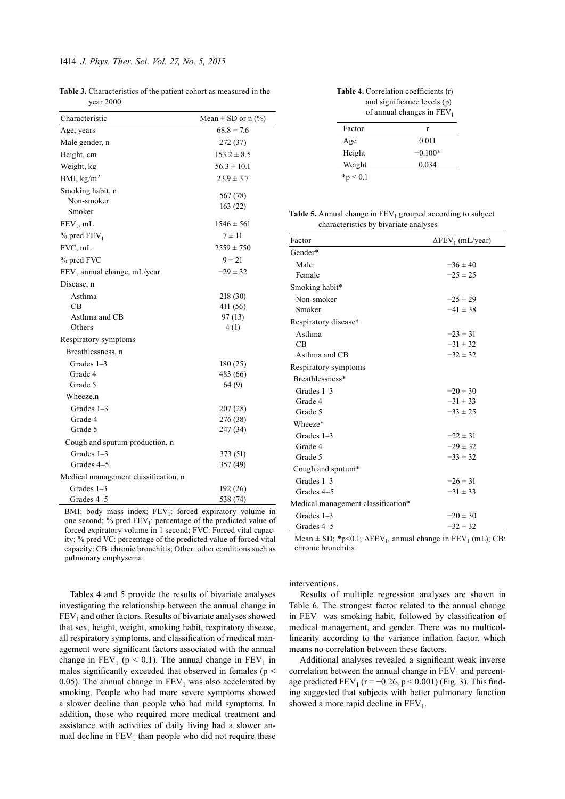| <b>Table 3.</b> Characteristics of the patient cohort as measured in the |  |
|--------------------------------------------------------------------------|--|
| vear 2000                                                                |  |

| Characteristic                          | Mean $\pm$ SD or n (%) |
|-----------------------------------------|------------------------|
| Age, years                              | $68.8 \pm 7.6$         |
| Male gender, n                          | 272 (37)               |
| Height, cm                              | $153.2 \pm 8.5$        |
| Weight, kg                              | $56.3 \pm 10.1$        |
| BMI, $\text{kg/m}^2$                    | $23.9 \pm 3.7$         |
| Smoking habit, n<br>Non-smoker          | 567 (78)               |
| Smoker                                  | 163(22)                |
| $FEV_1$ , mL                            | $1546 \pm 561$         |
| $%$ pred FEV <sub>1</sub>               | $7 \pm 11$             |
| FVC, mL                                 | $2559 \pm 750$         |
| % pred FVC                              | $9 \pm 21$             |
| FEV <sub>1</sub> annual change, mL/year | $-29 \pm 32$           |
| Disease, n                              |                        |
| Asthma                                  | 218 (30)               |
| CB.                                     | 411 (56)               |
| Asthma and CB                           | 97(13)                 |
| Others                                  | 4(1)                   |
| Respiratory symptoms                    |                        |
| Breathlessness, n                       |                        |
| Grades 1-3                              | 180(25)                |
| Grade 4                                 | 483 (66)               |
| Grade 5                                 | 64 (9)                 |
| Wheeze,n                                |                        |
| Grades 1-3                              | 207 (28)               |
| Grade 4                                 | 276 (38)               |
| Grade 5                                 | 247 (34)               |
| Cough and sputum production, n          |                        |
| Grades $1-3$                            | 373 (51)               |
| Grades 4-5                              | 357 (49)               |
| Medical management classification, n    |                        |
| Grades 1-3                              | 192 (26)               |
| Grades 4-5                              | 538 (74)               |

BMI: body mass index;  $FEV<sub>1</sub>$ : forced expiratory volume in one second;  $%$  pred  $FEV<sub>1</sub>$ : percentage of the predicted value of forced expiratory volume in 1 second; FVC: Forced vital capacity; % pred VC: percentage of the predicted value of forced vital capacity; CB: chronic bronchitis; Other: other conditions such as pulmonary emphysema

Tables 4 and 5 provide the results of bivariate analyses investigating the relationship between the annual change in  $FEV<sub>1</sub>$  and other factors. Results of bivariate analyses showed that sex, height, weight, smoking habit, respiratory disease, all respiratory symptoms, and classification of medical management were significant factors associated with the annual change in  $FEV_1$  (p < 0.1). The annual change in  $FEV_1$  in males significantly exceeded that observed in females ( $p <$ 0.05). The annual change in  $FEV<sub>1</sub>$  was also accelerated by smoking. People who had more severe symptoms showed a slower decline than people who had mild symptoms. In addition, those who required more medical treatment and assistance with activities of daily living had a slower annual decline in  $FEV<sub>1</sub>$  than people who did not require these

| <b>Table 4.</b> Correlation coefficients (r) |  |
|----------------------------------------------|--|
| and significance levels (p)                  |  |
| of annual changes in $FEV1$                  |  |

| r         |
|-----------|
| 0.011     |
| $-0.100*$ |
| 0.034     |
|           |

| <b>Table 5.</b> Annual change in $FEV_1$ grouped according to subject |
|-----------------------------------------------------------------------|
| characteristics by bivariate analyses                                 |

| Factor                                                                                    | $\Delta$ FEV <sub>1</sub> (mL/year) |
|-------------------------------------------------------------------------------------------|-------------------------------------|
| Gender*                                                                                   |                                     |
| Male                                                                                      | $-36 \pm 40$                        |
| Female                                                                                    | $-25 \pm 25$                        |
| Smoking habit*                                                                            |                                     |
| Non-smoker                                                                                | $-25 \pm 29$                        |
| Smoker                                                                                    | $-41 \pm 38$                        |
| Respiratory disease*                                                                      |                                     |
| Asthma                                                                                    | $-23 \pm 31$                        |
| CB                                                                                        | $-31 \pm 32$                        |
| Asthma and CB                                                                             | $-32 \pm 32$                        |
| Respiratory symptoms                                                                      |                                     |
| Breathlessness*                                                                           |                                     |
| Grades $1-3$                                                                              | $-20 \pm 30$                        |
| Grade 4                                                                                   | $-31 \pm 33$                        |
| Grade 5                                                                                   | $-33 \pm 25$                        |
| Wheeze*                                                                                   |                                     |
| Grades $1-3$                                                                              | $-22 \pm 31$                        |
| Grade 4                                                                                   | $-29 \pm 32$                        |
| Grade 5                                                                                   | $-33 \pm 32$                        |
| Cough and sputum*                                                                         |                                     |
| Grades $1-3$                                                                              | $-26 \pm 31$                        |
| Grades 4-5                                                                                | $-31 \pm 33$                        |
| Medical management classification*                                                        |                                     |
| Grades $1-3$                                                                              | $-20 \pm 30$                        |
| Grades 4-5                                                                                | $-32 \pm 32$                        |
| $\mathbf{M} = 0.00 \times 0.1 \times \mathbf{F} \mathbf{F} \mathbf{W}$ $\mathbf{M} = 1.1$ | TPTI (I)                            |

Mean  $\pm$  SD; \*p<0.1;  $\Delta$ FEV<sub>1</sub>, annual change in FEV<sub>1</sub> (mL); CB: chronic bronchitis

#### interventions.

Results of multiple regression analyses are shown in Table 6. The strongest factor related to the annual change in  $FEV<sub>1</sub>$  was smoking habit, followed by classification of medical management, and gender. There was no multicollinearity according to the variance inflation factor, which means no correlation between these factors.

Additional analyses revealed a significant weak inverse correlation between the annual change in  $FEV<sub>1</sub>$  and percentage predicted FEV<sub>1</sub> ( $r = -0.26$ ,  $p < 0.001$ ) (Fig. 3). This finding suggested that subjects with better pulmonary function showed a more rapid decline in  $FEV<sub>1</sub>$ .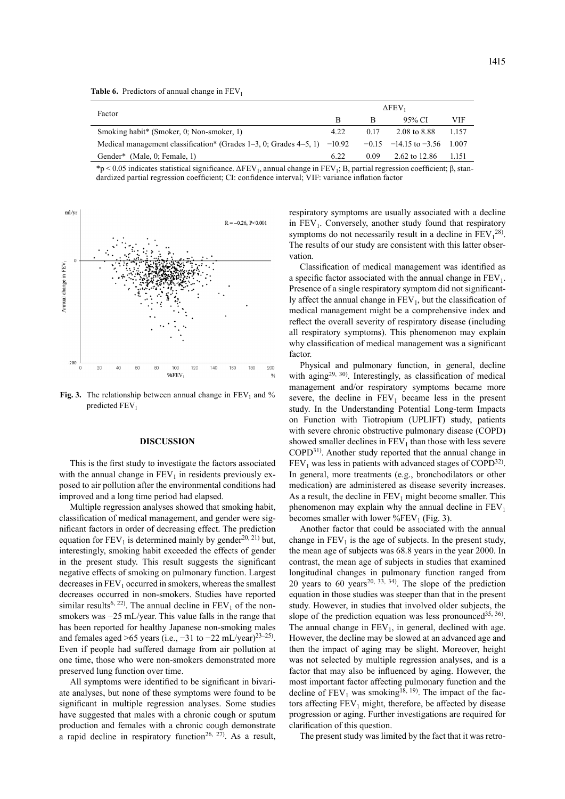|                                                                                  | $\Delta$ FEV <sub>1</sub> |      |                             |         |
|----------------------------------------------------------------------------------|---------------------------|------|-----------------------------|---------|
| Factor                                                                           |                           | в    | 95% CI                      | VIF     |
| Smoking habit* (Smoker, 0; Non-smoker, 1)                                        | 4.22                      | 0.17 | 2.08 to 8.88                | 1.157   |
| Medical management classification* (Grades $1-3$ , 0; Grades $4-5$ , 1) $-10.92$ |                           |      | $-0.15$ $-14.15$ to $-3.56$ | - 1.007 |
| Gender <sup>*</sup> (Male, 0; Female, 1)                                         | 6.22                      | 0.09 | 2.62 to 12.86               | 1.151   |

 $*p < 0.05$  indicates statistical significance.  $\Delta FEV_1$ , annual change in  $FEV_1$ ; B, partial regression coefficient; β, standardized partial regression coefficient; CI: confidence interval; VIF: variance inflation factor



**Fig. 3.** The relationship between annual change in  $FEV<sub>1</sub>$  and % predicted FEV<sub>1</sub>

#### **DISCUSSION**

This is the first study to investigate the factors associated with the annual change in  $FEV<sub>1</sub>$  in residents previously exposed to air pollution after the environmental conditions had improved and a long time period had elapsed.

Multiple regression analyses showed that smoking habit, classification of medical management, and gender were significant factors in order of decreasing effect. The prediction equation for  $FEV_1$  is determined mainly by gender<sup>[20, 21](#page-5-13)</sup>) but, interestingly, smoking habit exceeded the effects of gender in the present study. This result suggests the significant negative effects of smoking on pulmonary function. Largest decreases in  $FEV<sub>1</sub>$  occurred in smokers, whereas the smallest decreases occurred in non-smokers. Studies have reported similar results<sup>6, 22</sup>). The annual decline in  $FEV<sub>1</sub>$  of the nonsmokers was −25 mL/year. This value falls in the range that has been reported for healthy Japanese non-smoking males and females aged >65 years (i.e.,  $-31$  to  $-22$  mL/year)<sup>[23–25\)](#page-5-14)</sup>. Even if people had suffered damage from air pollution at one time, those who were non-smokers demonstrated more preserved lung function over time.

All symptoms were identified to be significant in bivariate analyses, but none of these symptoms were found to be significant in multiple regression analyses. Some studies have suggested that males with a chronic cough or sputum production and females with a chronic cough demonstrate a rapid decline in respiratory function<sup>26, 27</sup>). As a result, respiratory symptoms are usually associated with a decline in  $FEV<sub>1</sub>$ . Conversely, another study found that respiratory symptoms do not necessarily result in a decline in  $FEV<sub>1</sub><sup>28</sup>$  $FEV<sub>1</sub><sup>28</sup>$  $FEV<sub>1</sub><sup>28</sup>$ . The results of our study are consistent with this latter observation.

Classification of medical management was identified as a specific factor associated with the annual change in  $FEV<sub>1</sub>$ . Presence of a single respiratory symptom did not significantly affect the annual change in  $FEV<sub>1</sub>$ , but the classification of medical management might be a comprehensive index and reflect the overall severity of respiratory disease (including all respiratory symptoms). This phenomenon may explain why classification of medical management was a significant factor.

Physical and pulmonary function, in general, decline with aging<sup>[29, 30](#page-5-17)</sup>). Interestingly, as classification of medical management and/or respiratory symptoms became more severe, the decline in  $FEV<sub>1</sub>$  became less in the present study. In the Understanding Potential Long-term Impacts on Function with Tiotropium (UPLIFT) study, patients with severe chronic obstructive pulmonary disease (COPD) showed smaller declines in  $FEV<sub>1</sub>$  than those with less severe COPD[31\)](#page-5-18) . Another study reported that the annual change in  $FEV<sub>1</sub>$  was less in patients with advanced stages of COPD<sup>[32](#page-5-19))</sup>. In general, more treatments (e.g., bronchodilators or other medication) are administered as disease severity increases. As a result, the decline in  $FEV_1$  might become smaller. This phenomenon may explain why the annual decline in  $FEV<sub>1</sub>$ becomes smaller with lower  $\%$ FEV<sub>1</sub> (Fig. 3).

Another factor that could be associated with the annual change in  $FEV<sub>1</sub>$  is the age of subjects. In the present study, the mean age of subjects was 68.8 years in the year 2000. In contrast, the mean age of subjects in studies that examined longitudinal changes in pulmonary function ranged from 20 years to 60 years<sup>20, 33, 34</sup>. The slope of the prediction equation in those studies was steeper than that in the present study. However, in studies that involved older subjects, the slope of the prediction equation was less pronounced<sup>35, 36</sup>. The annual change in  $FEV<sub>1</sub>$ , in general, declined with age. However, the decline may be slowed at an advanced age and then the impact of aging may be slight. Moreover, height was not selected by multiple regression analyses, and is a factor that may also be influenced by aging. However, the most important factor affecting pulmonary function and the decline of  $FEV<sub>1</sub>$  was smoking<sup>[18, 19](#page-5-11)</sup>). The impact of the factors affecting  $FEV_1$  might, therefore, be affected by disease progression or aging. Further investigations are required for clarification of this question.

The present study was limited by the fact that it was retro-